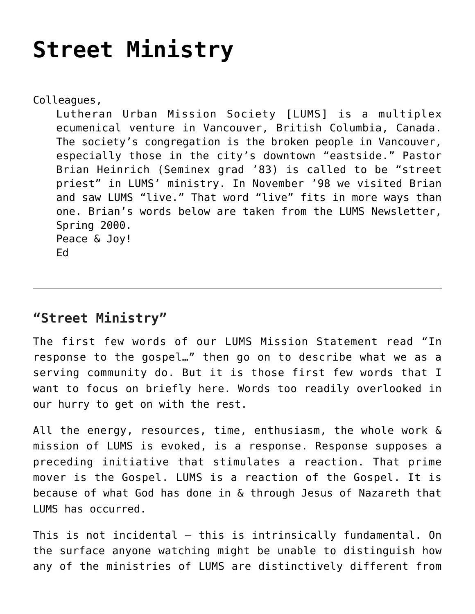## **[Street Ministry](https://crossings.org/street-ministry/)**

Colleagues, Lutheran Urban Mission Society [LUMS] is a multiplex ecumenical venture in Vancouver, British Columbia, Canada. The society's congregation is the broken people in Vancouver, especially those in the city's downtown "eastside." Pastor Brian Heinrich (Seminex grad '83) is called to be "street priest" in LUMS' ministry. In November '98 we visited Brian and saw LUMS "live." That word "live" fits in more ways than one. Brian's words below are taken from the LUMS Newsletter, Spring 2000. Peace & Joy! Ed

## **"Street Ministry"**

The first few words of our LUMS Mission Statement read "In response to the gospel…" then go on to describe what we as a serving community do. But it is those first few words that I want to focus on briefly here. Words too readily overlooked in our hurry to get on with the rest.

All the energy, resources, time, enthusiasm, the whole work & mission of LUMS is evoked, is a response. Response supposes a preceding initiative that stimulates a reaction. That prime mover is the Gospel. LUMS is a reaction of the Gospel. It is because of what God has done in & through Jesus of Nazareth that LUMS has occurred.

This is not incidental – this is intrinsically fundamental. On the surface anyone watching might be unable to distinguish how any of the ministries of LUMS are distinctively different from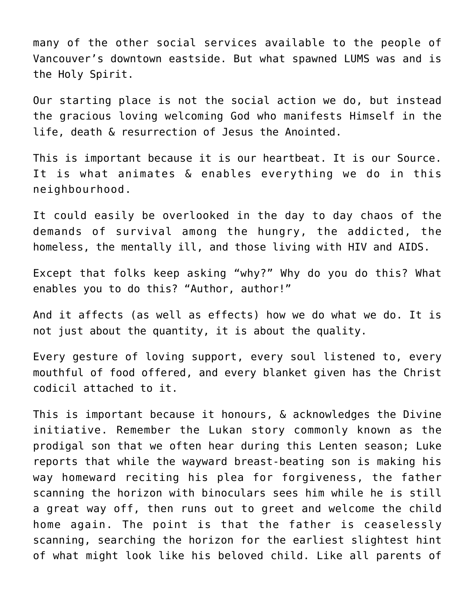many of the other social services available to the people of Vancouver's downtown eastside. But what spawned LUMS was and is the Holy Spirit.

Our starting place is not the social action we do, but instead the gracious loving welcoming God who manifests Himself in the life, death & resurrection of Jesus the Anointed.

This is important because it is our heartbeat. It is our Source. It is what animates & enables everything we do in this neighbourhood.

It could easily be overlooked in the day to day chaos of the demands of survival among the hungry, the addicted, the homeless, the mentally ill, and those living with HIV and AIDS.

Except that folks keep asking "why?" Why do you do this? What enables you to do this? "Author, author!"

And it affects (as well as effects) how we do what we do. It is not just about the quantity, it is about the quality.

Every gesture of loving support, every soul listened to, every mouthful of food offered, and every blanket given has the Christ codicil attached to it.

This is important because it honours, & acknowledges the Divine initiative. Remember the Lukan story commonly known as the prodigal son that we often hear during this Lenten season; Luke reports that while the wayward breast-beating son is making his way homeward reciting his plea for forgiveness, the father scanning the horizon with binoculars sees him while he is still a great way off, then runs out to greet and welcome the child home again. The point is that the father is ceaselessly scanning, searching the horizon for the earliest slightest hint of what might look like his beloved child. Like all parents of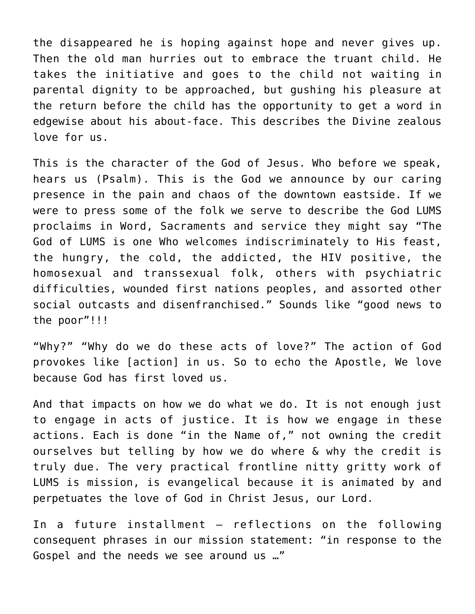the disappeared he is hoping against hope and never gives up. Then the old man hurries out to embrace the truant child. He takes the initiative and goes to the child not waiting in parental dignity to be approached, but gushing his pleasure at the return before the child has the opportunity to get a word in edgewise about his about-face. This describes the Divine zealous love for us.

This is the character of the God of Jesus. Who before we speak, hears us (Psalm). This is the God we announce by our caring presence in the pain and chaos of the downtown eastside. If we were to press some of the folk we serve to describe the God LUMS proclaims in Word, Sacraments and service they might say "The God of LUMS is one Who welcomes indiscriminately to His feast, the hungry, the cold, the addicted, the HIV positive, the homosexual and transsexual folk, others with psychiatric difficulties, wounded first nations peoples, and assorted other social outcasts and disenfranchised." Sounds like "good news to the poor"!!!

"Why?" "Why do we do these acts of love?" The action of God provokes like [action] in us. So to echo the Apostle, We love because God has first loved us.

And that impacts on how we do what we do. It is not enough just to engage in acts of justice. It is how we engage in these actions. Each is done "in the Name of," not owning the credit ourselves but telling by how we do where & why the credit is truly due. The very practical frontline nitty gritty work of LUMS is mission, is evangelical because it is animated by and perpetuates the love of God in Christ Jesus, our Lord.

In a future installment – reflections on the following consequent phrases in our mission statement: "in response to the Gospel and the needs we see around us …"